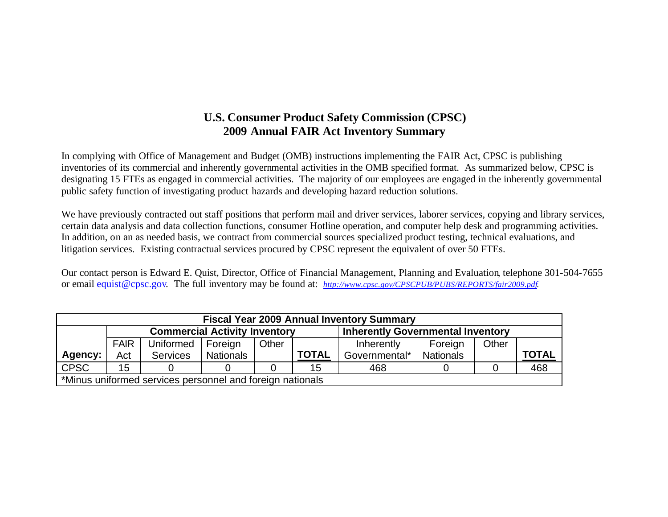## **U.S. Consumer Product Safety Commission (CPSC) 2009 Annual FAIR Act Inventory Summary**

In complying with Office of Management and Budget (OMB) instructions implementing the FAIR Act, CPSC is publishing inventories of its commercial and inherently governmental activities in the OMB specified format. As summarized below, CPSC is designating 15 FTEs as engaged in commercial activities. The majority of our employees are engaged in the inherently governmental public safety function of investigating product hazards and developing hazard reduction solutions.

We have previously contracted out staff positions that perform mail and driver services, laborer services, copying and library services, certain data analysis and data collection functions, consumer Hotline operation, and computer help desk and programming activities. In addition, on an as needed basis, we contract from commercial sources specialized product testing, technical evaluations, and litigation services. Existing contractual services procured by CPSC represent the equivalent of over 50 FTEs.

Our contact person is Edward E. Quist, Director, Office of Financial Management, Planning and Evaluation, telephone 301-504-7655 or email equist@cpsc.gov. The full inventory may be found at: *http://www.cpsc.gov/CPSCPUB/PUBS/REPORTS/fair2009.pdf.*

|             | <b>Fiscal Year 2009 Annual Inventory Summary</b> |                  |                                                           |       |              |                                          |                  |       |              |  |  |  |  |  |  |  |
|-------------|--------------------------------------------------|------------------|-----------------------------------------------------------|-------|--------------|------------------------------------------|------------------|-------|--------------|--|--|--|--|--|--|--|
|             |                                                  |                  | <b>Commercial Activity Inventory</b>                      |       |              | <b>Inherently Governmental Inventory</b> |                  |       |              |  |  |  |  |  |  |  |
|             | <b>FAIR</b>                                      | <b>Uniformed</b> | Foreign                                                   | Other |              | Inherently                               | Foreign          | Other |              |  |  |  |  |  |  |  |
| Agency:     | Act                                              | <b>Services</b>  | <b>Nationals</b>                                          |       | <b>TOTAL</b> | Governmental*                            | <b>Nationals</b> |       | <b>TOTAL</b> |  |  |  |  |  |  |  |
| <b>CPSC</b> | 15                                               |                  |                                                           |       | 15           | 468                                      |                  |       | 468          |  |  |  |  |  |  |  |
|             |                                                  |                  | *Minus uniformed services personnel and foreign nationals |       |              |                                          |                  |       |              |  |  |  |  |  |  |  |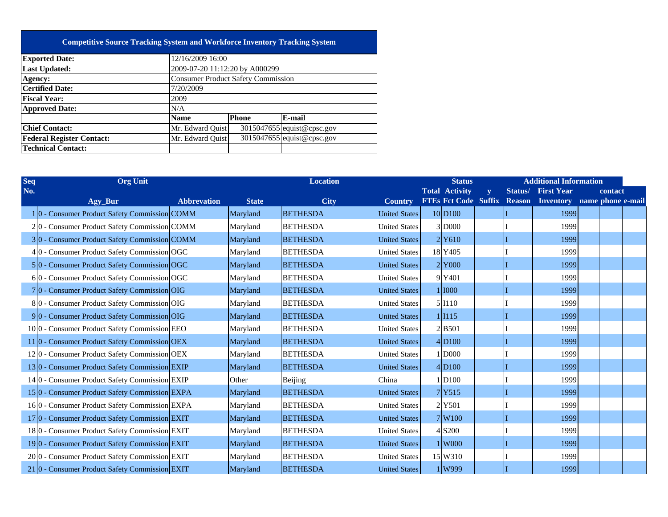| <b>Consumer Product Safety Commission</b> |              |                                                                                                                                                                                 |  |  |  |  |  |  |  |  |
|-------------------------------------------|--------------|---------------------------------------------------------------------------------------------------------------------------------------------------------------------------------|--|--|--|--|--|--|--|--|
| <b>Certified Date:</b><br>7/20/2009       |              |                                                                                                                                                                                 |  |  |  |  |  |  |  |  |
| 2009                                      |              |                                                                                                                                                                                 |  |  |  |  |  |  |  |  |
| N/A                                       |              |                                                                                                                                                                                 |  |  |  |  |  |  |  |  |
| <b>Name</b>                               | <b>Phone</b> | E-mail                                                                                                                                                                          |  |  |  |  |  |  |  |  |
|                                           |              | 3015047655 equist@cpsc.gov                                                                                                                                                      |  |  |  |  |  |  |  |  |
|                                           |              | $3015047655$ equist@cpsc.gov                                                                                                                                                    |  |  |  |  |  |  |  |  |
|                                           |              |                                                                                                                                                                                 |  |  |  |  |  |  |  |  |
|                                           |              | <b>Competitive Source Tracking System and Workforce Inventory Tracking System</b><br>12/16/2009 16:00<br>2009-07-20 11:12:20 by A000299<br>Mr. Edward Ouist<br>Mr. Edward Ouist |  |  |  |  |  |  |  |  |

| <b>Seq</b> | <b>Org Unit</b>                                                         |                    |              | <b>Location</b> |                      | <b>Status</b>               |                         |               | <b>Additional Information</b> |         |  |
|------------|-------------------------------------------------------------------------|--------------------|--------------|-----------------|----------------------|-----------------------------|-------------------------|---------------|-------------------------------|---------|--|
| No.        |                                                                         |                    |              |                 |                      | <b>Total Activity</b>       | $\overline{\mathbf{v}}$ | Status/       | <b>First Year</b>             | contact |  |
|            | Agy_Bur                                                                 | <b>Abbrevation</b> | <b>State</b> | <b>City</b>     | <b>Country</b>       | <b>FTEs Fct Code Suffix</b> |                         | <b>Reason</b> | Inventory name phone e-mail   |         |  |
|            | 1 <sup>0</sup> - Consumer Product Safety Commission COMM                |                    | Maryland     | <b>BETHESDA</b> | <b>United States</b> | 10 D <sub>100</sub>         |                         |               | 1999                          |         |  |
|            | 20 - Consumer Product Safety Commission COMM                            |                    | Maryland     | <b>BETHESDA</b> | <b>United States</b> | 3 D000                      |                         |               | 1999                          |         |  |
|            | 30 - Consumer Product Safety Commission COMM                            |                    | Maryland     | <b>BETHESDA</b> | <b>United States</b> | 2 Y610                      |                         |               | 1999                          |         |  |
|            | 40 - Consumer Product Safety Commission OGC                             |                    | Maryland     | <b>BETHESDA</b> | <b>United States</b> | 18 Y405                     |                         |               | 1999                          |         |  |
|            | 5 <sup>o</sup> - Consumer Product Safety Commission OGC                 |                    | Maryland     | <b>BETHESDA</b> | <b>United States</b> | $2$ Y <sub>000</sub>        |                         |               | 1999                          |         |  |
|            | 60 - Consumer Product Safety Commission OGC                             |                    | Maryland     | <b>BETHESDA</b> | <b>United States</b> | 9Y401                       |                         |               | 1999                          |         |  |
|            | 7 <sup>0</sup> - Consumer Product Safety Commission OIG                 |                    | Maryland     | <b>BETHESDA</b> | <b>United States</b> | 1 1000                      |                         |               | 1999                          |         |  |
|            | 80 - Consumer Product Safety Commission OIG                             |                    | Maryland     | <b>BETHESDA</b> | <b>United States</b> | 5 I <sub>110</sub>          |                         |               | 1999                          |         |  |
|            | 90 - Consumer Product Safety Commission OIG                             |                    | Maryland     | <b>BETHESDA</b> | <b>United States</b> | 1 1115                      |                         |               | 1999                          |         |  |
|            | 100 - Consumer Product Safety Commission EEO                            |                    | Maryland     | <b>BETHESDA</b> | <b>United States</b> | 2B501                       |                         |               | 1999                          |         |  |
|            | 11 <sup> </sup> 0 - Consumer Product Safety Commission <sup> </sup> OEX |                    | Maryland     | <b>BETHESDA</b> | <b>United States</b> | $4\vert D100$               |                         |               | 1999                          |         |  |
|            | 120 - Consumer Product Safety Commission OEX                            |                    | Maryland     | <b>BETHESDA</b> | <b>United States</b> | 1 D000                      |                         |               | 1999                          |         |  |
|            | 130 - Consumer Product Safety Commission EXIP                           |                    | Maryland     | <b>BETHESDA</b> | <b>United States</b> | 4 D100                      |                         |               | 1999                          |         |  |
|            | 140 - Consumer Product Safety Commission EXIP                           |                    | Other        | Beijing         | China                | 1D100                       |                         |               | 1999                          |         |  |
|            | 150 - Consumer Product Safety Commission EXPA                           |                    | Maryland     | <b>BETHESDA</b> | <b>United States</b> | 7 <sub>Y515</sub>           |                         |               | 1999                          |         |  |
|            | 160 - Consumer Product Safety Commission EXPA                           |                    | Maryland     | <b>BETHESDA</b> | <b>United States</b> | 2 Y501                      |                         |               | 1999                          |         |  |
|            | 17 <sup>0</sup> - Consumer Product Safety Commission EXIT               |                    | Maryland     | <b>BETHESDA</b> | <b>United States</b> | $7$ W <sub>100</sub>        |                         |               | 1999                          |         |  |
|            | 180 - Consumer Product Safety Commission EXIT                           |                    | Maryland     | <b>BETHESDA</b> | <b>United States</b> | 4 S200                      |                         |               | 1999                          |         |  |
|            | 190 - Consumer Product Safety Commission EXIT                           |                    | Maryland     | <b>BETHESDA</b> | <b>United States</b> | 1 W <sub>000</sub>          |                         |               | 1999                          |         |  |
|            | 20 <sup>o</sup> - Consumer Product Safety Commission EXIT               |                    | Maryland     | <b>BETHESDA</b> | <b>United States</b> | 15 W310                     |                         |               | 1999                          |         |  |
|            | 21 0 - Consumer Product Safety Commission EXIT                          |                    | Maryland     | <b>BETHESDA</b> | <b>United States</b> | 1W999                       |                         |               | 1999                          |         |  |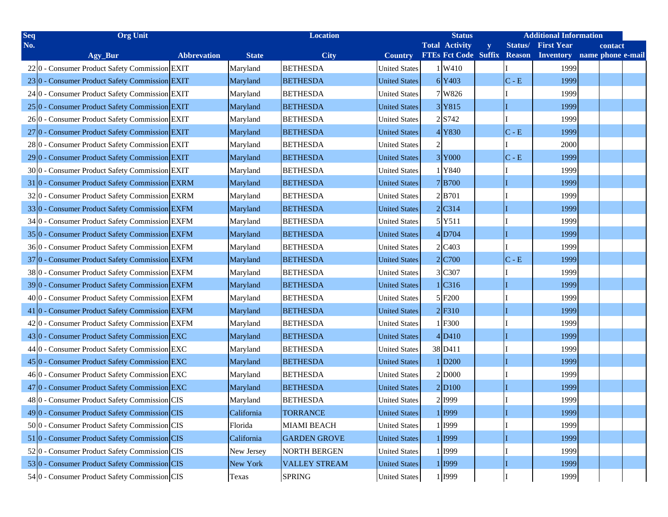| Seq | <b>Org Unit</b>                                           |                    |              | <b>Location</b>      |                      | <b>Status</b>               |   |         | <b>Additional Information</b> |  |                   |  |
|-----|-----------------------------------------------------------|--------------------|--------------|----------------------|----------------------|-----------------------------|---|---------|-------------------------------|--|-------------------|--|
| No. |                                                           |                    |              |                      |                      | <b>Total Activity</b>       | y | Status/ | <b>First Year</b>             |  | contact           |  |
|     | Agy_Bur                                                   | <b>Abbrevation</b> | <b>State</b> | <b>City</b>          | <b>Country</b>       | <b>FTEs Fct Code Suffix</b> |   | Reason  | <b>Inventory</b>              |  | name phone e-mail |  |
|     | 22 <sup>o</sup> - Consumer Product Safety Commission EXIT |                    | Maryland     | <b>BETHESDA</b>      | <b>United States</b> | 1W410                       |   |         | 1999                          |  |                   |  |
|     | 230 - Consumer Product Safety Commission EXIT             |                    | Maryland     | <b>BETHESDA</b>      | <b>United States</b> | 6Y403                       |   | $C - E$ | 1999                          |  |                   |  |
|     | 24 0 - Consumer Product Safety Commission EXIT            |                    | Maryland     | <b>BETHESDA</b>      | <b>United States</b> | 7 W826                      |   |         | 1999                          |  |                   |  |
|     | 25 <sup>o</sup> - Consumer Product Safety Commission EXIT |                    | Maryland     | <b>BETHESDA</b>      | <b>United States</b> | 3Y815                       |   | II      | 1999                          |  |                   |  |
|     | 26 0 - Consumer Product Safety Commission EXIT            |                    | Maryland     | <b>BETHESDA</b>      | <b>United States</b> | $2$ S742                    |   |         | 1999                          |  |                   |  |
|     | 27 <sup>0</sup> - Consumer Product Safety Commission EXIT |                    | Maryland     | <b>BETHESDA</b>      | <b>United States</b> | $4$ Y830                    |   | $C - E$ | 1999                          |  |                   |  |
|     | 28 0 - Consumer Product Safety Commission EXIT            |                    | Maryland     | <b>BETHESDA</b>      | <b>United States</b> |                             |   |         | 2000                          |  |                   |  |
|     | 29 0 - Consumer Product Safety Commission EXIT            |                    | Maryland     | <b>BETHESDA</b>      | <b>United States</b> | 3Y000                       |   | $C - E$ | 1999                          |  |                   |  |
|     | 30 <sup>o</sup> - Consumer Product Safety Commission EXIT |                    | Maryland     | <b>BETHESDA</b>      | <b>United States</b> | 1 Y840                      |   |         | 1999                          |  |                   |  |
|     | 31 0 - Consumer Product Safety Commission EXRM            |                    | Maryland     | <b>BETHESDA</b>      | <b>United States</b> | 7B700                       |   | П       | 1999                          |  |                   |  |
|     | 320 - Consumer Product Safety Commission EXRM             |                    | Maryland     | <b>BETHESDA</b>      | <b>United States</b> | 2B701                       |   |         | 1999                          |  |                   |  |
|     | 330 - Consumer Product Safety Commission EXFM             |                    | Maryland     | <b>BETHESDA</b>      | <b>United States</b> | $2$ C <sub>314</sub>        |   |         | 1999                          |  |                   |  |
|     | 34 0 - Consumer Product Safety Commission EXFM            |                    | Maryland     | <b>BETHESDA</b>      | <b>United States</b> | 5 Y511                      |   |         | 1999                          |  |                   |  |
|     | 35 <sup>0</sup> - Consumer Product Safety Commission EXFM |                    | Maryland     | <b>BETHESDA</b>      | <b>United States</b> | $4$ D704                    |   |         | 1999                          |  |                   |  |
|     | 36 <sup>o</sup> - Consumer Product Safety Commission EXFM |                    | Maryland     | <b>BETHESDA</b>      | <b>United States</b> | 2 C <sub>4</sub> 03         |   |         | 1999                          |  |                   |  |
|     | 37 <sup>0</sup> - Consumer Product Safety Commission EXFM |                    | Maryland     | <b>BETHESDA</b>      | <b>United States</b> | $2$ C700                    |   | $C - E$ | 1999                          |  |                   |  |
|     | 38 0 - Consumer Product Safety Commission EXFM            |                    | Maryland     | <b>BETHESDA</b>      | <b>United States</b> | 3 C307                      |   |         | 1999                          |  |                   |  |
|     | 39 0 - Consumer Product Safety Commission EXFM            |                    | Maryland     | <b>BETHESDA</b>      | <b>United States</b> | 1 C316                      |   | Ш       | 1999                          |  |                   |  |
|     | 40 <sup>o</sup> - Consumer Product Safety Commission EXFM |                    | Maryland     | <b>BETHESDA</b>      | <b>United States</b> | 5 F200                      |   |         | 1999                          |  |                   |  |
|     | 41 0 - Consumer Product Safety Commission EXFM            |                    | Maryland     | <b>BETHESDA</b>      | <b>United States</b> | $2$ F310                    |   | Ш       | 1999                          |  |                   |  |
|     | 42 <sup>o</sup> - Consumer Product Safety Commission EXFM |                    | Maryland     | <b>BETHESDA</b>      | <b>United States</b> | 1F300                       |   |         | 1999                          |  |                   |  |
|     | 430 - Consumer Product Safety Commission EXC              |                    | Maryland     | <b>BETHESDA</b>      | <b>United States</b> | $4$ D <sub>410</sub>        |   |         | 1999                          |  |                   |  |
|     | 44 0 - Consumer Product Safety Commission EXC             |                    | Maryland     | <b>BETHESDA</b>      | <b>United States</b> | 38 D411                     |   |         | 1999                          |  |                   |  |
|     | 45 0 - Consumer Product Safety Commission EXC             |                    | Maryland     | <b>BETHESDA</b>      | <b>United States</b> | 1 D200                      |   | Ш       | 1999                          |  |                   |  |
|     | 46 0 - Consumer Product Safety Commission EXC             |                    | Maryland     | <b>BETHESDA</b>      | <b>United States</b> | 2 D000                      |   |         | 1999                          |  |                   |  |
|     | 47 0 - Consumer Product Safety Commission EXC             |                    | Maryland     | <b>BETHESDA</b>      | <b>United States</b> | 2 D100                      |   |         | 1999                          |  |                   |  |
|     | 480 - Consumer Product Safety Commission CIS              |                    | Maryland     | <b>BETHESDA</b>      | <b>United States</b> | 2 1999                      |   |         | 1999                          |  |                   |  |
|     | 49 0 - Consumer Product Safety Commission CIS             |                    | California   | <b>TORRANCE</b>      | <b>United States</b> | 1 1999                      |   | I       | 1999                          |  |                   |  |
|     | 500 - Consumer Product Safety Commission CIS              |                    | Florida      | <b>MIAMI BEACH</b>   | <b>United States</b> | 1 I999                      |   |         | 1999                          |  |                   |  |
|     | 51 0 - Consumer Product Safety Commission CIS             |                    | California   | <b>GARDEN GROVE</b>  | <b>United States</b> | 1 1999                      |   | II      | 1999                          |  |                   |  |
|     | 520 - Consumer Product Safety Commission CIS              |                    | New Jersey   | <b>NORTH BERGEN</b>  | <b>United States</b> | 1 1999                      |   |         | 1999                          |  |                   |  |
|     | 530 - Consumer Product Safety Commission CIS              |                    | New York     | <b>VALLEY STREAM</b> | <b>United States</b> | 1 1999                      |   | II      | 1999                          |  |                   |  |
|     | 54 0 - Consumer Product Safety Commission CIS             |                    | Texas        | <b>SPRING</b>        | <b>United States</b> | 1 <sup>1999</sup>           |   |         | 1999                          |  |                   |  |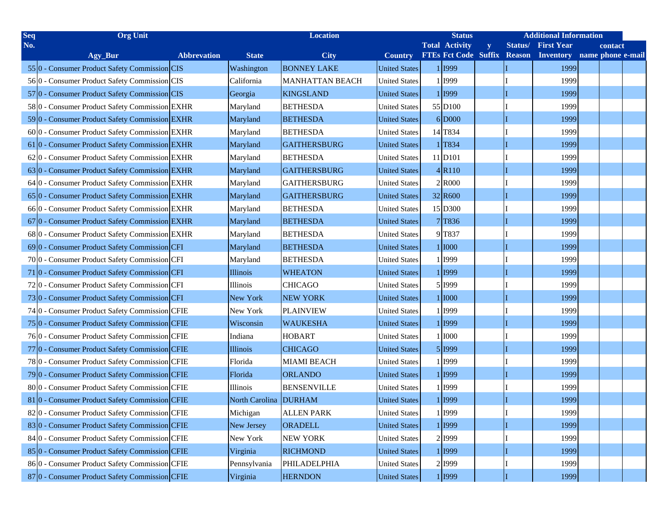| <b>Seq</b> | <b>Org Unit</b>                                |                    | <b>Location</b> |                        | <b>Status</b>        |                             |              | <b>Additional Information</b> |                   |  |                   |  |
|------------|------------------------------------------------|--------------------|-----------------|------------------------|----------------------|-----------------------------|--------------|-------------------------------|-------------------|--|-------------------|--|
| No.        |                                                |                    |                 |                        |                      | <b>Total Activity</b>       | $\mathbf{y}$ | Status/                       | <b>First Year</b> |  | contact           |  |
|            | Agy_Bur                                        | <b>Abbrevation</b> | <b>State</b>    | <b>City</b>            | <b>Country</b>       | <b>FTEs Fct Code Suffix</b> |              | <b>Reason</b>                 | <b>Inventory</b>  |  | name phone e-mail |  |
|            | 550 - Consumer Product Safety Commission CIS   |                    | Washington      | <b>BONNEY LAKE</b>     | <b>United States</b> | 1 1999                      |              |                               | 1999              |  |                   |  |
|            | 560 - Consumer Product Safety Commission CIS   |                    | California      | <b>MANHATTAN BEACH</b> | <b>United States</b> | 1 1999                      |              |                               | 1999              |  |                   |  |
|            | 57 0 - Consumer Product Safety Commission CIS  |                    | Georgia         | <b>KINGSLAND</b>       | <b>United States</b> | 1 1999                      |              |                               | 1999              |  |                   |  |
|            | 580 - Consumer Product Safety Commission EXHR  |                    | Maryland        | <b>BETHESDA</b>        | <b>United States</b> | 55 D <sub>100</sub>         |              |                               | 1999              |  |                   |  |
|            | 590 - Consumer Product Safety Commission EXHR  |                    | Maryland        | <b>BETHESDA</b>        | <b>United States</b> | 6 D000                      |              |                               | 1999              |  |                   |  |
|            | 600 - Consumer Product Safety Commission EXHR  |                    | Maryland        | <b>BETHESDA</b>        | <b>United States</b> | 14 T834                     |              |                               | 1999              |  |                   |  |
|            | 61 0 - Consumer Product Safety Commission EXHR |                    | Maryland        | <b>GAITHERSBURG</b>    | <b>United States</b> | $1$ T <sub>834</sub>        |              |                               | 1999              |  |                   |  |
|            | 620 - Consumer Product Safety Commission EXHR  |                    | Maryland        | <b>BETHESDA</b>        | <b>United States</b> | 11 D <sub>101</sub>         |              |                               | 1999              |  |                   |  |
|            | 630 - Consumer Product Safety Commission EXHR  |                    | Maryland        | <b>GAITHERSBURG</b>    | <b>United States</b> | $4$ R <sub>110</sub>        |              |                               | 1999              |  |                   |  |
|            | 64 0 - Consumer Product Safety Commission EXHR |                    | Maryland        | <b>GAITHERSBURG</b>    | <b>United States</b> | 2 R000                      |              |                               | 1999              |  |                   |  |
|            | 650 - Consumer Product Safety Commission EXHR  |                    | Maryland        | <b>GAITHERSBURG</b>    | <b>United States</b> | 32 R600                     |              |                               | 1999              |  |                   |  |
|            | 660 - Consumer Product Safety Commission EXHR  |                    | Maryland        | <b>BETHESDA</b>        | <b>United States</b> | 15 D300                     |              |                               | 1999              |  |                   |  |
|            | 670 - Consumer Product Safety Commission EXHR  |                    | Maryland        | <b>BETHESDA</b>        | <b>United States</b> | 7T836                       |              |                               | 1999              |  |                   |  |
|            | 680 - Consumer Product Safety Commission EXHR  |                    | Maryland        | <b>BETHESDA</b>        | <b>United States</b> | 9 T837                      |              |                               | 1999              |  |                   |  |
|            | 690 - Consumer Product Safety Commission CFI   |                    | Maryland        | <b>BETHESDA</b>        | <b>United States</b> | 1 1000                      |              |                               | 1999              |  |                   |  |
|            | 700 - Consumer Product Safety Commission CFI   |                    | Maryland        | <b>BETHESDA</b>        | <b>United States</b> | 1 1999                      |              |                               | 1999              |  |                   |  |
|            | 71 0 - Consumer Product Safety Commission CFI  |                    | Illinois        | <b>WHEATON</b>         | <b>United States</b> | 1 1999                      |              |                               | 1999              |  |                   |  |
|            | 720 - Consumer Product Safety Commission CFI   |                    | Illinois        | <b>CHICAGO</b>         | <b>United States</b> | 5 1999                      |              |                               | 1999              |  |                   |  |
|            | 730 - Consumer Product Safety Commission CFI   |                    | New York        | <b>NEW YORK</b>        | <b>United States</b> | 1 <b>1000</b>               |              |                               | 1999              |  |                   |  |
|            | 74 0 - Consumer Product Safety Commission CFIE |                    | New York        | <b>PLAINVIEW</b>       | <b>United States</b> | 1 1999                      |              |                               | 1999              |  |                   |  |
|            | 750 - Consumer Product Safety Commission CFIE  |                    | Wisconsin       | <b>WAUKESHA</b>        | <b>United States</b> | 1 1999                      |              |                               | 1999              |  |                   |  |
|            | 760 - Consumer Product Safety Commission CFIE  |                    | Indiana         | <b>HOBART</b>          | <b>United States</b> | 1 1000                      |              |                               | 1999              |  |                   |  |
|            | 77 0 - Consumer Product Safety Commission CFIE |                    | Illinois        | <b>CHICAGO</b>         | <b>United States</b> | 5 1999                      |              |                               | 1999              |  |                   |  |
|            | 780 - Consumer Product Safety Commission CFIE  |                    | Florida         | <b>MIAMI BEACH</b>     | <b>United States</b> | 1 1999                      |              |                               | 1999              |  |                   |  |
|            | 790 - Consumer Product Safety Commission CFIE  |                    | Florida         | <b>ORLANDO</b>         | <b>United States</b> | 1 1999                      |              |                               | 1999              |  |                   |  |
|            | 800 - Consumer Product Safety Commission CFIE  |                    | Illinois        | <b>BENSENVILLE</b>     | <b>United States</b> | 1 1999                      |              |                               | 1999              |  |                   |  |
|            | 81 0 - Consumer Product Safety Commission CFIE |                    | North Carolina  | <b>DURHAM</b>          | <b>United States</b> | 1 1999                      |              |                               | 1999              |  |                   |  |
|            | 820 - Consumer Product Safety Commission CFIE  |                    | Michigan        | <b>ALLEN PARK</b>      | <b>United States</b> | 1 1999                      |              |                               | 1999              |  |                   |  |
|            | 830 - Consumer Product Safety Commission CFIE  |                    | New Jersey      | ORADELL                | <b>United States</b> | 1 1999                      |              |                               | 1999              |  |                   |  |
|            | 84 0 - Consumer Product Safety Commission CFIE |                    | New York        | <b>NEW YORK</b>        | <b>United States</b> | 2 1999                      |              |                               | 1999              |  |                   |  |
|            | 850 - Consumer Product Safety Commission CFIE  |                    | Virginia        | <b>RICHMOND</b>        | <b>United States</b> | 1 1999                      |              |                               | 1999              |  |                   |  |
|            | 860 - Consumer Product Safety Commission CFIE  |                    | Pennsylvania    | PHILADELPHIA           | <b>United States</b> | 2 1999                      |              |                               | 1999              |  |                   |  |
|            | 87 0 - Consumer Product Safety Commission CFIE |                    | Virginia        | <b>HERNDON</b>         | <b>United States</b> | 1 1999                      |              |                               | 1999              |  |                   |  |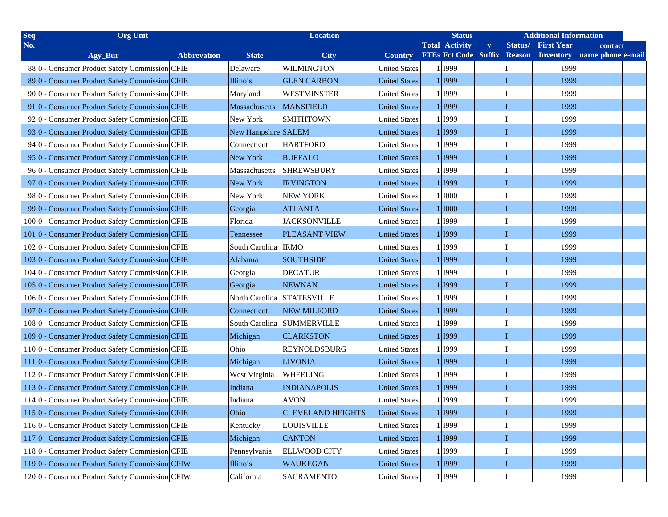| Seq | <b>Org Unit</b>                                 |                    | <b>Location</b>     |                          | <b>Status</b>        |                             | <b>Additional Information</b> |               |                   |  |                   |  |
|-----|-------------------------------------------------|--------------------|---------------------|--------------------------|----------------------|-----------------------------|-------------------------------|---------------|-------------------|--|-------------------|--|
| No. |                                                 |                    |                     |                          |                      | <b>Total Activity</b>       | y                             | Status/       | <b>First Year</b> |  | contact           |  |
|     | Agy_Bur                                         | <b>Abbrevation</b> | <b>State</b>        | <b>City</b>              | <b>Country</b>       | <b>FTEs Fct Code Suffix</b> |                               | <b>Reason</b> | <b>Inventory</b>  |  | name phone e-mail |  |
|     | 880 - Consumer Product Safety Commission CFIE   |                    | Delaware            | <b>WILMINGTON</b>        | <b>United States</b> | 1 1999                      |                               |               | 1999              |  |                   |  |
|     | 890 - Consumer Product Safety Commission CFIE   |                    | Illinois            | <b>GLEN CARBON</b>       | <b>United States</b> | 1 1999                      |                               |               | 1999              |  |                   |  |
|     | 90 0 - Consumer Product Safety Commission CFIE  |                    | Maryland            | <b>WESTMINSTER</b>       | <b>United States</b> | 1 1999                      |                               |               | 1999              |  |                   |  |
|     | 91 0 - Consumer Product Safety Commission CFIE  |                    | Massachusetts       | <b>MANSFIELD</b>         | <b>United States</b> | 1 1999                      |                               |               | 1999              |  |                   |  |
|     | 920 - Consumer Product Safety Commission CFIE   |                    | New York            | <b>SMITHTOWN</b>         | <b>United States</b> | 1 1999                      |                               |               | 1999              |  |                   |  |
|     | 930 - Consumer Product Safety Commission CFIE   |                    | New Hampshire SALEM |                          | <b>United States</b> | 1 1999                      |                               |               | 1999              |  |                   |  |
|     | 94 0 - Consumer Product Safety Commission CFIE  |                    | Connecticut         | <b>HARTFORD</b>          | <b>United States</b> | 1 1999                      |                               |               | 1999              |  |                   |  |
|     | 95 0 - Consumer Product Safety Commission CFIE  |                    | New York            | <b>BUFFALO</b>           | <b>United States</b> | 1 1999                      |                               |               | 1999              |  |                   |  |
|     | 96 0 - Consumer Product Safety Commission CFIE  |                    | Massachusetts       | <b>SHREWSBURY</b>        | <b>United States</b> | 1 1999                      |                               |               | 1999              |  |                   |  |
|     | 97 0 - Consumer Product Safety Commission CFIE  |                    | New York            | <b>IRVINGTON</b>         | <b>United States</b> | 1 1999                      |                               |               | 1999              |  |                   |  |
|     | 98 0 - Consumer Product Safety Commission CFIE  |                    | New York            | <b>NEW YORK</b>          | <b>United States</b> | 1 1000                      |                               |               | 1999              |  |                   |  |
|     | 990 - Consumer Product Safety Commission CFIE   |                    | Georgia             | <b>ATLANTA</b>           | <b>United States</b> | 1 1000                      |                               |               | 1999              |  |                   |  |
|     | 1000 - Consumer Product Safety Commission CFIE  |                    | Florida             | <b>JACKSONVILLE</b>      | <b>United States</b> | 1 1999                      |                               |               | 1999              |  |                   |  |
|     | 101 0 - Consumer Product Safety Commission CFIE |                    | Tennessee           | <b>PLEASANT VIEW</b>     | <b>United States</b> | 1 1999                      |                               |               | 1999              |  |                   |  |
|     | 1020 - Consumer Product Safety Commission CFIE  |                    | South Carolina IRMO |                          | <b>United States</b> | 1 1999                      |                               |               | 1999              |  |                   |  |
|     | 1030 - Consumer Product Safety Commission CFIE  |                    | Alabama             | <b>SOUTHSIDE</b>         | <b>United States</b> | 1 1999                      |                               |               | 1999              |  |                   |  |
|     | 1040 - Consumer Product Safety Commission CFIE  |                    | Georgia             | <b>DECATUR</b>           | <b>United States</b> | 1 1999                      |                               |               | 1999              |  |                   |  |
|     | 1050 - Consumer Product Safety Commission CFIE  |                    | Georgia             | <b>NEWNAN</b>            | <b>United States</b> | 1 1999                      |                               |               | 1999              |  |                   |  |
|     | 1060 - Consumer Product Safety Commission CFIE  |                    | North Carolina      | <b>STATESVILLE</b>       | <b>United States</b> | 1 1999                      |                               |               | 1999              |  |                   |  |
|     | 1070 - Consumer Product Safety Commission CFIE  |                    | Connecticut         | <b>NEW MILFORD</b>       | <b>United States</b> | 1 1999                      |                               |               | 1999              |  |                   |  |
|     | 1080 - Consumer Product Safety Commission CFIE  |                    | South Carolina      | <b>SUMMERVILLE</b>       | <b>United States</b> | 1 1999                      |                               |               | 1999              |  |                   |  |
|     | 1090 - Consumer Product Safety Commission CFIE  |                    | Michigan            | <b>CLARKSTON</b>         | <b>United States</b> | 1 1999                      |                               |               | 1999              |  |                   |  |
|     | 1100 - Consumer Product Safety Commission CFIE  |                    | Ohio                | <b>REYNOLDSBURG</b>      | <b>United States</b> | 1 1999                      |                               |               | 1999              |  |                   |  |
|     | 111 0 - Consumer Product Safety Commission CFIE |                    | Michigan            | <b>LIVONIA</b>           | <b>United States</b> | 1 1999                      |                               |               | 1999              |  |                   |  |
|     | 1120 - Consumer Product Safety Commission CFIE  |                    | West Virginia       | <b>WHEELING</b>          | <b>United States</b> | 1 1999                      |                               |               | 1999              |  |                   |  |
|     | 1130 - Consumer Product Safety Commission CFIE  |                    | Indiana             | <b>INDIANAPOLIS</b>      | <b>United States</b> | 1 1999                      |                               |               | 1999              |  |                   |  |
|     | 1140 - Consumer Product Safety Commission CFIE  |                    | Indiana             | <b>AVON</b>              | <b>United States</b> | 1 1999                      |                               |               | 1999              |  |                   |  |
|     | 1150 - Consumer Product Safety Commission CFIE  |                    | Ohio                | <b>CLEVELAND HEIGHTS</b> | <b>United States</b> | 1 1999                      |                               | II            | 1999              |  |                   |  |
|     | 1160 - Consumer Product Safety Commission CFIE  |                    | Kentucky            | <b>LOUISVILLE</b>        | <b>United States</b> | 1 1999                      |                               |               | 1999              |  |                   |  |
|     | 1170 - Consumer Product Safety Commission CFIE  |                    | Michigan            | <b>CANTON</b>            | <b>United States</b> | 1 1999                      |                               | II            | 1999              |  |                   |  |
|     | 1180 - Consumer Product Safety Commission CFIE  |                    | Pennsylvania        | <b>ELLWOOD CITY</b>      | <b>United States</b> | 1 1999                      |                               |               | 1999              |  |                   |  |
|     | 1190 - Consumer Product Safety Commission CFIW  |                    | Illinois            | <b>WAUKEGAN</b>          | <b>United States</b> | 1 1999                      |                               | II            | 1999              |  |                   |  |
|     | 1200 - Consumer Product Safety Commission CFIW  |                    | California          | <b>SACRAMENTO</b>        | <b>United States</b> | 1 1999                      |                               |               | 1999              |  |                   |  |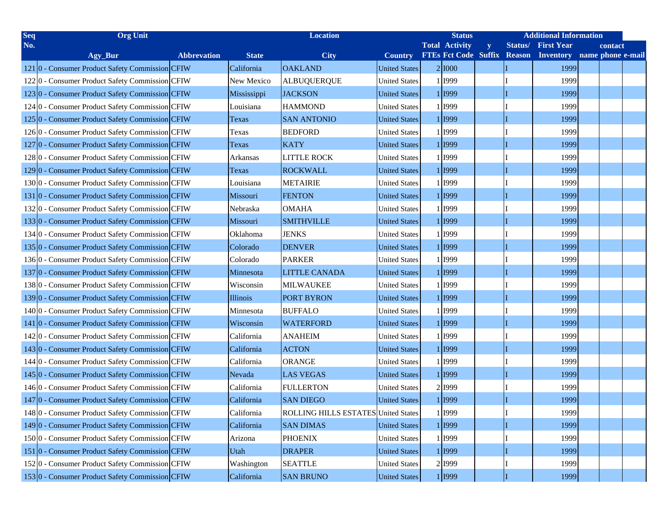| <b>Seq</b> | <b>Org Unit</b>                                            |                    | <b>Location</b> |                                     | <b>Status</b>        |                             |   | <b>Additional Information</b> |                   |  |                   |  |
|------------|------------------------------------------------------------|--------------------|-----------------|-------------------------------------|----------------------|-----------------------------|---|-------------------------------|-------------------|--|-------------------|--|
| No.        |                                                            |                    |                 |                                     |                      | <b>Total Activity</b>       | y | Status/                       | <b>First Year</b> |  | contact           |  |
|            | Agy_Bur                                                    | <b>Abbrevation</b> | <b>State</b>    | <b>City</b>                         | <b>Country</b>       | <b>FTEs Fct Code Suffix</b> |   | <b>Reason</b>                 | <b>Inventory</b>  |  | name phone e-mail |  |
|            | 121 0 - Consumer Product Safety Commission CFIW            |                    | California      | <b>OAKLAND</b>                      | <b>United States</b> | 2 1000                      |   |                               | 1999              |  |                   |  |
|            | 1220 - Consumer Product Safety Commission CFIW             |                    | New Mexico      | <b>ALBUQUERQUE</b>                  | <b>United States</b> | 1 1999                      |   |                               | 1999              |  |                   |  |
|            | 1230 - Consumer Product Safety Commission CFIW             |                    | Mississippi     | <b>JACKSON</b>                      | <b>United States</b> | 1 1999                      |   |                               | 1999              |  |                   |  |
|            | 124 <sup>0</sup> - Consumer Product Safety Commission CFIW |                    | Louisiana       | <b>HAMMOND</b>                      | <b>United States</b> | 1 1999                      |   |                               | 1999              |  |                   |  |
|            | 1250 - Consumer Product Safety Commission CFIW             |                    | Texas           | <b>SAN ANTONIO</b>                  | <b>United States</b> | 1 1999                      |   |                               | 1999              |  |                   |  |
|            | 126 <sup>o</sup> - Consumer Product Safety Commission CFIW |                    | Texas           | <b>BEDFORD</b>                      | <b>United States</b> | 1 1999                      |   |                               | 1999              |  |                   |  |
|            | 127 0 - Consumer Product Safety Commission CFIW            |                    | Texas           | <b>KATY</b>                         | <b>United States</b> | 1 1999                      |   |                               | 1999              |  |                   |  |
|            | 1280 - Consumer Product Safety Commission CFIW             |                    | Arkansas        | <b>LITTLE ROCK</b>                  | <b>United States</b> | 1 1999                      |   |                               | 1999              |  |                   |  |
|            | 129 0 - Consumer Product Safety Commission CFIW            |                    | Texas           | <b>ROCKWALL</b>                     | <b>United States</b> | 1 1999                      |   |                               | 1999              |  |                   |  |
|            | 1300 - Consumer Product Safety Commission CFIW             |                    | Louisiana       | <b>METAIRIE</b>                     | <b>United States</b> | 1 1999                      |   |                               | 1999              |  |                   |  |
|            | 131 0 - Consumer Product Safety Commission CFIW            |                    | Missouri        | <b>FENTON</b>                       | <b>United States</b> | 1 1999                      |   |                               | 1999              |  |                   |  |
|            | 1320 - Consumer Product Safety Commission CFIW             |                    | Nebraska        | <b>OMAHA</b>                        | <b>United States</b> | 1 1999                      |   |                               | 1999              |  |                   |  |
|            | 1330 - Consumer Product Safety Commission CFIW             |                    | Missouri        | <b>SMITHVILLE</b>                   | <b>United States</b> | 1 I 1999                    |   |                               | 1999              |  |                   |  |
|            | 1340 - Consumer Product Safety Commission CFIW             |                    | Oklahoma        | <b>JENKS</b>                        | <b>United States</b> | 1 1999                      |   |                               | 1999              |  |                   |  |
|            | 135 0 - Consumer Product Safety Commission CFIW            |                    | Colorado        | <b>DENVER</b>                       | <b>United States</b> | 1 1999                      |   |                               | 1999              |  |                   |  |
|            | 1360 - Consumer Product Safety Commission CFIW             |                    | Colorado        | <b>PARKER</b>                       | <b>United States</b> | 1 1999                      |   |                               | 1999              |  |                   |  |
|            | 1370 - Consumer Product Safety Commission CFIW             |                    | Minnesota       | <b>LITTLE CANADA</b>                | <b>United States</b> | 1 1999                      |   |                               | 1999              |  |                   |  |
|            | 1380 - Consumer Product Safety Commission CFIW             |                    | Wisconsin       | <b>MILWAUKEE</b>                    | <b>United States</b> | 1 1999                      |   |                               | 1999              |  |                   |  |
|            | 1390 - Consumer Product Safety Commission CFIW             |                    | Illinois        | <b>PORT BYRON</b>                   | <b>United States</b> | 1 1999                      |   |                               | 1999              |  |                   |  |
|            | 1400 - Consumer Product Safety Commission CFIW             |                    | Minnesota       | <b>BUFFALO</b>                      | <b>United States</b> | 1 1999                      |   |                               | 1999              |  |                   |  |
|            | 141 0 - Consumer Product Safety Commission CFIW            |                    | Wisconsin       | <b>WATERFORD</b>                    | <b>United States</b> | 1 1999                      |   |                               | 1999              |  |                   |  |
|            | 1420 - Consumer Product Safety Commission CFIW             |                    | California      | <b>ANAHEIM</b>                      | <b>United States</b> | 1 1999                      |   |                               | 1999              |  |                   |  |
|            | 1430 - Consumer Product Safety Commission CFIW             |                    | California      | <b>ACTON</b>                        | <b>United States</b> | 1 1999                      |   |                               | 1999              |  |                   |  |
|            | 1440 - Consumer Product Safety Commission CFIW             |                    | California      | <b>ORANGE</b>                       | <b>United States</b> | 1 1999                      |   |                               | 1999              |  |                   |  |
|            | 145 0 - Consumer Product Safety Commission CFIW            |                    | Nevada          | <b>LAS VEGAS</b>                    | <b>United States</b> | 1 1999                      |   |                               | 1999              |  |                   |  |
|            | 1460 - Consumer Product Safety Commission CFIW             |                    | California      | <b>FULLERTON</b>                    | <b>United States</b> | 2 1999                      |   |                               | 1999              |  |                   |  |
|            | 147 0 - Consumer Product Safety Commission CFIW            |                    | California      | <b>SAN DIEGO</b>                    | <b>United States</b> | 1 1999                      |   |                               | 1999              |  |                   |  |
|            | 1480 - Consumer Product Safety Commission CFIW             |                    | California      | ROLLING HILLS ESTATES United States |                      | 1 1999                      |   |                               | 1999              |  |                   |  |
|            | 1490 - Consumer Product Safety Commission CFIW             |                    | California      | <b>SAN DIMAS</b>                    | <b>United States</b> | 1 1999                      |   |                               | 1999              |  |                   |  |
|            | 1500 - Consumer Product Safety Commission CFIW             |                    | Arizona         | <b>PHOENIX</b>                      | <b>United States</b> | 1 1999                      |   |                               | 1999              |  |                   |  |
|            | 151 0 - Consumer Product Safety Commission CFIW            |                    | <b>Utah</b>     | <b>DRAPER</b>                       | <b>United States</b> | 1 1999                      |   |                               | 1999              |  |                   |  |
|            | 1520 - Consumer Product Safety Commission CFIW             |                    | Washington      | <b>SEATTLE</b>                      | <b>United States</b> | 2 1999                      |   |                               | 1999              |  |                   |  |
|            | 1530 - Consumer Product Safety Commission CFIW             |                    | California      | <b>SAN BRUNO</b>                    | <b>United States</b> | 1 1999                      |   |                               | 1999              |  |                   |  |